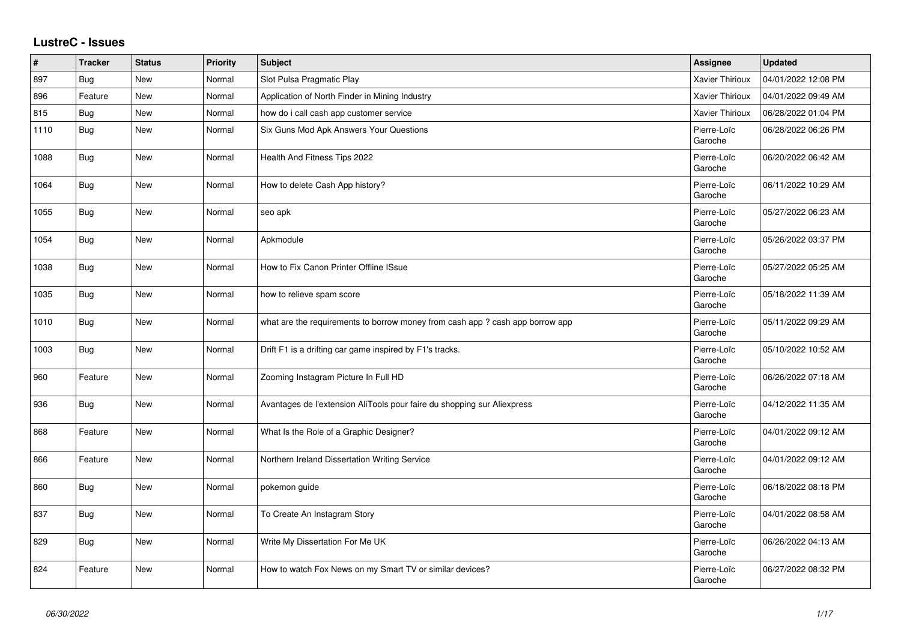## **LustreC - Issues**

| $\sharp$ | <b>Tracker</b> | <b>Status</b> | <b>Priority</b> | <b>Subject</b>                                                                | <b>Assignee</b>        | <b>Updated</b>      |
|----------|----------------|---------------|-----------------|-------------------------------------------------------------------------------|------------------------|---------------------|
| 897      | Bug            | New           | Normal          | Slot Pulsa Pragmatic Play                                                     | Xavier Thirioux        | 04/01/2022 12:08 PM |
| 896      | Feature        | New           | Normal          | Application of North Finder in Mining Industry                                | Xavier Thirioux        | 04/01/2022 09:49 AM |
| 815      | <b>Bug</b>     | New           | Normal          | how do i call cash app customer service                                       | Xavier Thirioux        | 06/28/2022 01:04 PM |
| 1110     | <b>Bug</b>     | New           | Normal          | Six Guns Mod Apk Answers Your Questions                                       | Pierre-Loïc<br>Garoche | 06/28/2022 06:26 PM |
| 1088     | <b>Bug</b>     | New           | Normal          | Health And Fitness Tips 2022                                                  | Pierre-Loïc<br>Garoche | 06/20/2022 06:42 AM |
| 1064     | <b>Bug</b>     | New           | Normal          | How to delete Cash App history?                                               | Pierre-Loïc<br>Garoche | 06/11/2022 10:29 AM |
| 1055     | Bug            | New           | Normal          | seo apk                                                                       | Pierre-Loïc<br>Garoche | 05/27/2022 06:23 AM |
| 1054     | <b>Bug</b>     | <b>New</b>    | Normal          | Apkmodule                                                                     | Pierre-Loïc<br>Garoche | 05/26/2022 03:37 PM |
| 1038     | <b>Bug</b>     | New           | Normal          | How to Fix Canon Printer Offline ISsue                                        | Pierre-Loïc<br>Garoche | 05/27/2022 05:25 AM |
| 1035     | Bug            | New           | Normal          | how to relieve spam score                                                     | Pierre-Loïc<br>Garoche | 05/18/2022 11:39 AM |
| 1010     | <b>Bug</b>     | New           | Normal          | what are the requirements to borrow money from cash app ? cash app borrow app | Pierre-Loïc<br>Garoche | 05/11/2022 09:29 AM |
| 1003     | Bug            | New           | Normal          | Drift F1 is a drifting car game inspired by F1's tracks.                      | Pierre-Loïc<br>Garoche | 05/10/2022 10:52 AM |
| 960      | Feature        | New           | Normal          | Zooming Instagram Picture In Full HD                                          | Pierre-Loïc<br>Garoche | 06/26/2022 07:18 AM |
| 936      | Bug            | New           | Normal          | Avantages de l'extension AliTools pour faire du shopping sur Aliexpress       | Pierre-Loïc<br>Garoche | 04/12/2022 11:35 AM |
| 868      | Feature        | New           | Normal          | What Is the Role of a Graphic Designer?                                       | Pierre-Loïc<br>Garoche | 04/01/2022 09:12 AM |
| 866      | Feature        | New           | Normal          | Northern Ireland Dissertation Writing Service                                 | Pierre-Loïc<br>Garoche | 04/01/2022 09:12 AM |
| 860      | <b>Bug</b>     | New           | Normal          | pokemon guide                                                                 | Pierre-Loïc<br>Garoche | 06/18/2022 08:18 PM |
| 837      | <b>Bug</b>     | New           | Normal          | To Create An Instagram Story                                                  | Pierre-Loïc<br>Garoche | 04/01/2022 08:58 AM |
| 829      | <b>Bug</b>     | New           | Normal          | Write My Dissertation For Me UK                                               | Pierre-Loïc<br>Garoche | 06/26/2022 04:13 AM |
| 824      | Feature        | New           | Normal          | How to watch Fox News on my Smart TV or similar devices?                      | Pierre-Loïc<br>Garoche | 06/27/2022 08:32 PM |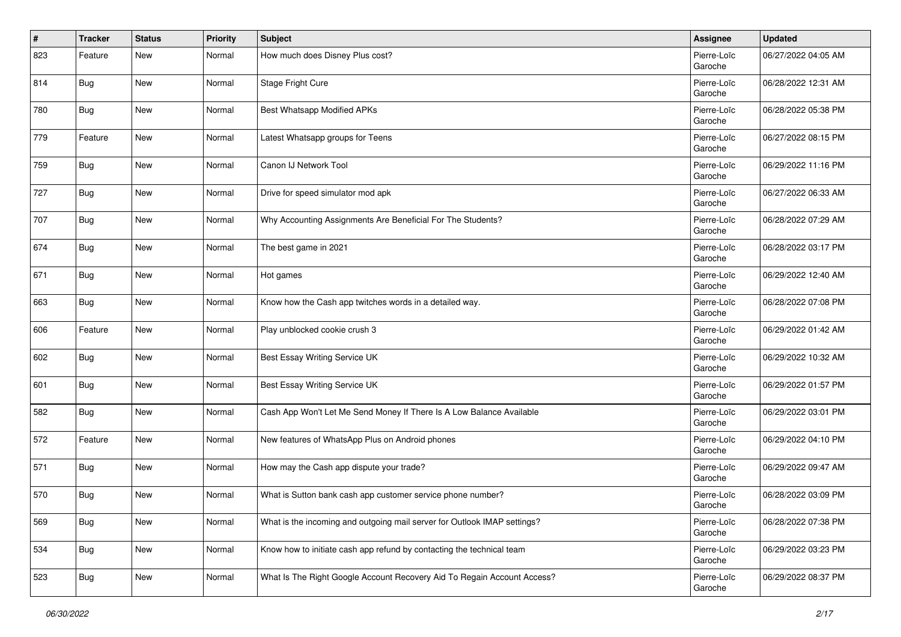| #   | <b>Tracker</b> | <b>Status</b> | <b>Priority</b> | <b>Subject</b>                                                           | Assignee               | <b>Updated</b>      |
|-----|----------------|---------------|-----------------|--------------------------------------------------------------------------|------------------------|---------------------|
| 823 | Feature        | <b>New</b>    | Normal          | How much does Disney Plus cost?                                          | Pierre-Loïc<br>Garoche | 06/27/2022 04:05 AM |
| 814 | Bug            | <b>New</b>    | Normal          | Stage Fright Cure                                                        | Pierre-Loïc<br>Garoche | 06/28/2022 12:31 AM |
| 780 | <b>Bug</b>     | New           | Normal          | <b>Best Whatsapp Modified APKs</b>                                       | Pierre-Loïc<br>Garoche | 06/28/2022 05:38 PM |
| 779 | Feature        | <b>New</b>    | Normal          | Latest Whatsapp groups for Teens                                         | Pierre-Loïc<br>Garoche | 06/27/2022 08:15 PM |
| 759 | Bug            | New           | Normal          | Canon IJ Network Tool                                                    | Pierre-Loïc<br>Garoche | 06/29/2022 11:16 PM |
| 727 | <b>Bug</b>     | New           | Normal          | Drive for speed simulator mod apk                                        | Pierre-Loïc<br>Garoche | 06/27/2022 06:33 AM |
| 707 | Bug            | <b>New</b>    | Normal          | Why Accounting Assignments Are Beneficial For The Students?              | Pierre-Loïc<br>Garoche | 06/28/2022 07:29 AM |
| 674 | Bug            | <b>New</b>    | Normal          | The best game in 2021                                                    | Pierre-Loïc<br>Garoche | 06/28/2022 03:17 PM |
| 671 | <b>Bug</b>     | <b>New</b>    | Normal          | Hot games                                                                | Pierre-Loïc<br>Garoche | 06/29/2022 12:40 AM |
| 663 | <b>Bug</b>     | New           | Normal          | Know how the Cash app twitches words in a detailed way.                  | Pierre-Loïc<br>Garoche | 06/28/2022 07:08 PM |
| 606 | Feature        | <b>New</b>    | Normal          | Play unblocked cookie crush 3                                            | Pierre-Loïc<br>Garoche | 06/29/2022 01:42 AM |
| 602 | Bug            | <b>New</b>    | Normal          | Best Essay Writing Service UK                                            | Pierre-Loïc<br>Garoche | 06/29/2022 10:32 AM |
| 601 | <b>Bug</b>     | <b>New</b>    | Normal          | Best Essay Writing Service UK                                            | Pierre-Loïc<br>Garoche | 06/29/2022 01:57 PM |
| 582 | <b>Bug</b>     | New           | Normal          | Cash App Won't Let Me Send Money If There Is A Low Balance Available     | Pierre-Loïc<br>Garoche | 06/29/2022 03:01 PM |
| 572 | Feature        | <b>New</b>    | Normal          | New features of WhatsApp Plus on Android phones                          | Pierre-Loïc<br>Garoche | 06/29/2022 04:10 PM |
| 571 | <b>Bug</b>     | <b>New</b>    | Normal          | How may the Cash app dispute your trade?                                 | Pierre-Loïc<br>Garoche | 06/29/2022 09:47 AM |
| 570 | <b>Bug</b>     | <b>New</b>    | Normal          | What is Sutton bank cash app customer service phone number?              | Pierre-Loïc<br>Garoche | 06/28/2022 03:09 PM |
| 569 | <b>Bug</b>     | New           | Normal          | What is the incoming and outgoing mail server for Outlook IMAP settings? | Pierre-Loïc<br>Garoche | 06/28/2022 07:38 PM |
| 534 | <b>Bug</b>     | New           | Normal          | Know how to initiate cash app refund by contacting the technical team    | Pierre-Loïc<br>Garoche | 06/29/2022 03:23 PM |
| 523 | <b>Bug</b>     | New           | Normal          | What Is The Right Google Account Recovery Aid To Regain Account Access?  | Pierre-Loïc<br>Garoche | 06/29/2022 08:37 PM |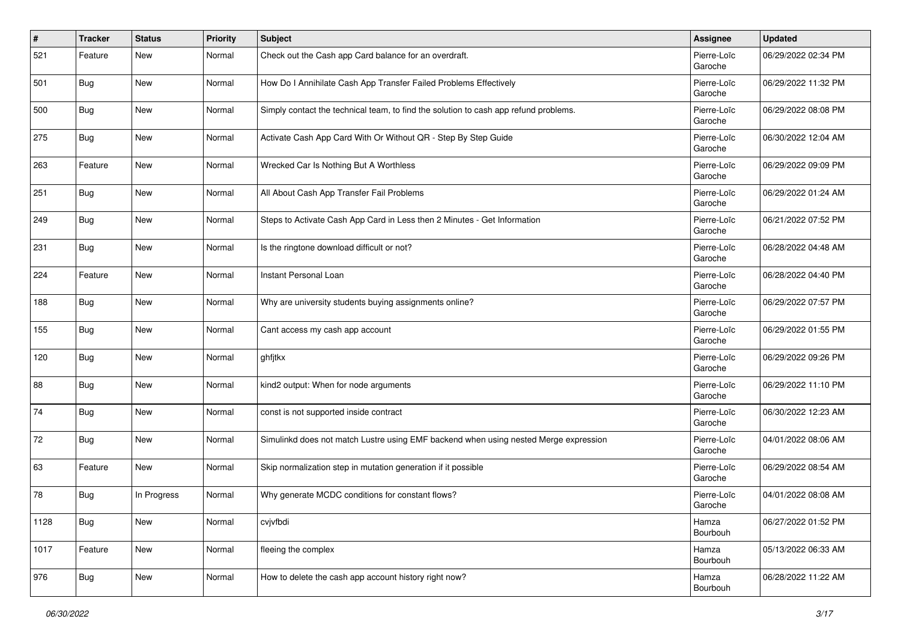| #    | <b>Tracker</b> | <b>Status</b> | <b>Priority</b> | <b>Subject</b>                                                                       | Assignee               | <b>Updated</b>      |
|------|----------------|---------------|-----------------|--------------------------------------------------------------------------------------|------------------------|---------------------|
| 521  | Feature        | New           | Normal          | Check out the Cash app Card balance for an overdraft.                                | Pierre-Loïc<br>Garoche | 06/29/2022 02:34 PM |
| 501  | Bug            | <b>New</b>    | Normal          | How Do I Annihilate Cash App Transfer Failed Problems Effectively                    | Pierre-Loïc<br>Garoche | 06/29/2022 11:32 PM |
| 500  | Bug            | <b>New</b>    | Normal          | Simply contact the technical team, to find the solution to cash app refund problems. | Pierre-Loïc<br>Garoche | 06/29/2022 08:08 PM |
| 275  | Bug            | <b>New</b>    | Normal          | Activate Cash App Card With Or Without QR - Step By Step Guide                       | Pierre-Loïc<br>Garoche | 06/30/2022 12:04 AM |
| 263  | Feature        | <b>New</b>    | Normal          | Wrecked Car Is Nothing But A Worthless                                               | Pierre-Loïc<br>Garoche | 06/29/2022 09:09 PM |
| 251  | Bug            | <b>New</b>    | Normal          | All About Cash App Transfer Fail Problems                                            | Pierre-Loïc<br>Garoche | 06/29/2022 01:24 AM |
| 249  | Bug            | <b>New</b>    | Normal          | Steps to Activate Cash App Card in Less then 2 Minutes - Get Information             | Pierre-Loïc<br>Garoche | 06/21/2022 07:52 PM |
| 231  | Bug            | <b>New</b>    | Normal          | Is the ringtone download difficult or not?                                           | Pierre-Loïc<br>Garoche | 06/28/2022 04:48 AM |
| 224  | Feature        | New           | Normal          | Instant Personal Loan                                                                | Pierre-Loïc<br>Garoche | 06/28/2022 04:40 PM |
| 188  | <b>Bug</b>     | New           | Normal          | Why are university students buying assignments online?                               | Pierre-Loïc<br>Garoche | 06/29/2022 07:57 PM |
| 155  | Bug            | <b>New</b>    | Normal          | Cant access my cash app account                                                      | Pierre-Loïc<br>Garoche | 06/29/2022 01:55 PM |
| 120  | Bug            | <b>New</b>    | Normal          | ghfjtkx                                                                              | Pierre-Loïc<br>Garoche | 06/29/2022 09:26 PM |
| 88   | Bug            | <b>New</b>    | Normal          | kind2 output: When for node arguments                                                | Pierre-Loïc<br>Garoche | 06/29/2022 11:10 PM |
| 74   | Bug            | <b>New</b>    | Normal          | const is not supported inside contract                                               | Pierre-Loïc<br>Garoche | 06/30/2022 12:23 AM |
| 72   | Bug            | <b>New</b>    | Normal          | Simulinkd does not match Lustre using EMF backend when using nested Merge expression | Pierre-Loïc<br>Garoche | 04/01/2022 08:06 AM |
| 63   | Feature        | New           | Normal          | Skip normalization step in mutation generation if it possible                        | Pierre-Loïc<br>Garoche | 06/29/2022 08:54 AM |
| 78   | Bug            | In Progress   | Normal          | Why generate MCDC conditions for constant flows?                                     | Pierre-Loïc<br>Garoche | 04/01/2022 08:08 AM |
| 1128 | <b>Bug</b>     | New           | Normal          | cvjvfbdi                                                                             | Hamza<br>Bourbouh      | 06/27/2022 01:52 PM |
| 1017 | Feature        | New           | Normal          | fleeing the complex                                                                  | Hamza<br>Bourbouh      | 05/13/2022 06:33 AM |
| 976  | <b>Bug</b>     | New           | Normal          | How to delete the cash app account history right now?                                | Hamza<br>Bourbouh      | 06/28/2022 11:22 AM |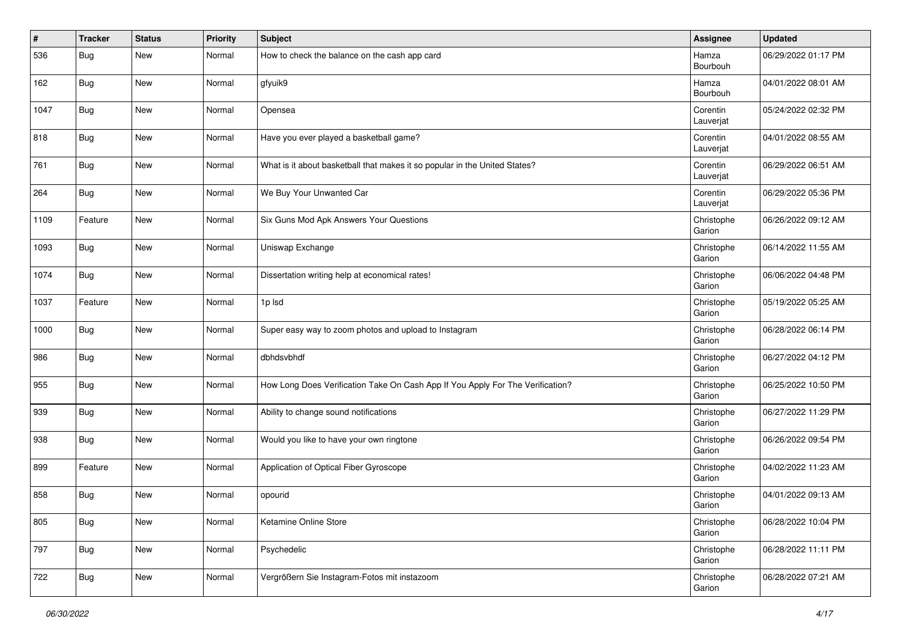| #    | <b>Tracker</b> | <b>Status</b> | <b>Priority</b> | <b>Subject</b>                                                                 | Assignee              | <b>Updated</b>      |
|------|----------------|---------------|-----------------|--------------------------------------------------------------------------------|-----------------------|---------------------|
| 536  | Bug            | <b>New</b>    | Normal          | How to check the balance on the cash app card                                  | Hamza<br>Bourbouh     | 06/29/2022 01:17 PM |
| 162  | Bug            | <b>New</b>    | Normal          | gfyuik9                                                                        | Hamza<br>Bourbouh     | 04/01/2022 08:01 AM |
| 1047 | <b>Bug</b>     | New           | Normal          | Opensea                                                                        | Corentin<br>Lauverjat | 05/24/2022 02:32 PM |
| 818  | Bug            | <b>New</b>    | Normal          | Have you ever played a basketball game?                                        | Corentin<br>Lauverjat | 04/01/2022 08:55 AM |
| 761  | Bug            | New           | Normal          | What is it about basketball that makes it so popular in the United States?     | Corentin<br>Lauverjat | 06/29/2022 06:51 AM |
| 264  | <b>Bug</b>     | New           | Normal          | We Buy Your Unwanted Car                                                       | Corentin<br>Lauverjat | 06/29/2022 05:36 PM |
| 1109 | Feature        | <b>New</b>    | Normal          | Six Guns Mod Apk Answers Your Questions                                        | Christophe<br>Garion  | 06/26/2022 09:12 AM |
| 1093 | Bug            | <b>New</b>    | Normal          | Uniswap Exchange                                                               | Christophe<br>Garion  | 06/14/2022 11:55 AM |
| 1074 | <b>Bug</b>     | New           | Normal          | Dissertation writing help at economical rates!                                 | Christophe<br>Garion  | 06/06/2022 04:48 PM |
| 1037 | Feature        | New           | Normal          | 1p lsd                                                                         | Christophe<br>Garion  | 05/19/2022 05:25 AM |
| 1000 | <b>Bug</b>     | <b>New</b>    | Normal          | Super easy way to zoom photos and upload to Instagram                          | Christophe<br>Garion  | 06/28/2022 06:14 PM |
| 986  | Bug            | <b>New</b>    | Normal          | dbhdsvbhdf                                                                     | Christophe<br>Garion  | 06/27/2022 04:12 PM |
| 955  | Bug            | New           | Normal          | How Long Does Verification Take On Cash App If You Apply For The Verification? | Christophe<br>Garion  | 06/25/2022 10:50 PM |
| 939  | Bug            | New           | Normal          | Ability to change sound notifications                                          | Christophe<br>Garion  | 06/27/2022 11:29 PM |
| 938  | <b>Bug</b>     | <b>New</b>    | Normal          | Would you like to have your own ringtone                                       | Christophe<br>Garion  | 06/26/2022 09:54 PM |
| 899  | Feature        | <b>New</b>    | Normal          | Application of Optical Fiber Gyroscope                                         | Christophe<br>Garion  | 04/02/2022 11:23 AM |
| 858  | <b>Bug</b>     | <b>New</b>    | Normal          | opourid                                                                        | Christophe<br>Garion  | 04/01/2022 09:13 AM |
| 805  | <b>Bug</b>     | New           | Normal          | Ketamine Online Store                                                          | Christophe<br>Garion  | 06/28/2022 10:04 PM |
| 797  | <b>Bug</b>     | New           | Normal          | Psychedelic                                                                    | Christophe<br>Garion  | 06/28/2022 11:11 PM |
| 722  | <b>Bug</b>     | New           | Normal          | Vergrößern Sie Instagram-Fotos mit instazoom                                   | Christophe<br>Garion  | 06/28/2022 07:21 AM |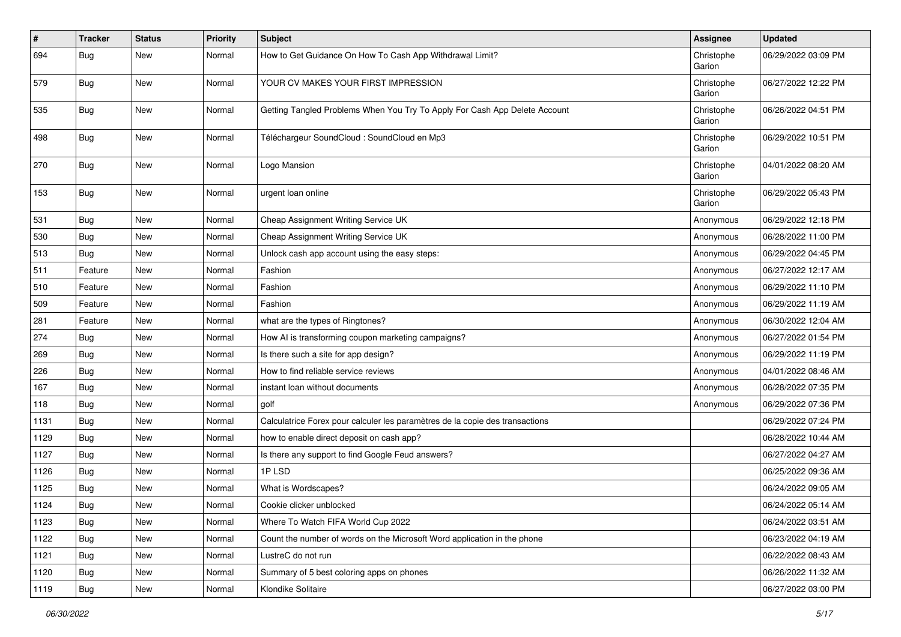| $\sharp$ | <b>Tracker</b> | <b>Status</b> | <b>Priority</b> | <b>Subject</b>                                                               | <b>Assignee</b>      | <b>Updated</b>      |
|----------|----------------|---------------|-----------------|------------------------------------------------------------------------------|----------------------|---------------------|
| 694      | Bug            | New           | Normal          | How to Get Guidance On How To Cash App Withdrawal Limit?                     | Christophe<br>Garion | 06/29/2022 03:09 PM |
| 579      | Bug            | New           | Normal          | YOUR CV MAKES YOUR FIRST IMPRESSION                                          | Christophe<br>Garion | 06/27/2022 12:22 PM |
| 535      | <b>Bug</b>     | New           | Normal          | Getting Tangled Problems When You Try To Apply For Cash App Delete Account   | Christophe<br>Garion | 06/26/2022 04:51 PM |
| 498      | Bug            | <b>New</b>    | Normal          | Téléchargeur SoundCloud : SoundCloud en Mp3                                  | Christophe<br>Garion | 06/29/2022 10:51 PM |
| 270      | <b>Bug</b>     | New           | Normal          | Logo Mansion                                                                 | Christophe<br>Garion | 04/01/2022 08:20 AM |
| 153      | <b>Bug</b>     | New           | Normal          | urgent loan online                                                           | Christophe<br>Garion | 06/29/2022 05:43 PM |
| 531      | Bug            | New           | Normal          | Cheap Assignment Writing Service UK                                          | Anonymous            | 06/29/2022 12:18 PM |
| 530      | <b>Bug</b>     | New           | Normal          | Cheap Assignment Writing Service UK                                          | Anonymous            | 06/28/2022 11:00 PM |
| 513      | <b>Bug</b>     | New           | Normal          | Unlock cash app account using the easy steps:                                | Anonymous            | 06/29/2022 04:45 PM |
| 511      | Feature        | New           | Normal          | Fashion                                                                      | Anonymous            | 06/27/2022 12:17 AM |
| 510      | Feature        | New           | Normal          | Fashion                                                                      | Anonymous            | 06/29/2022 11:10 PM |
| 509      | Feature        | <b>New</b>    | Normal          | Fashion                                                                      | Anonymous            | 06/29/2022 11:19 AM |
| 281      | Feature        | New           | Normal          | what are the types of Ringtones?                                             | Anonymous            | 06/30/2022 12:04 AM |
| 274      | <b>Bug</b>     | New           | Normal          | How AI is transforming coupon marketing campaigns?                           | Anonymous            | 06/27/2022 01:54 PM |
| 269      | Bug            | New           | Normal          | Is there such a site for app design?                                         | Anonymous            | 06/29/2022 11:19 PM |
| 226      | Bug            | New           | Normal          | How to find reliable service reviews                                         | Anonymous            | 04/01/2022 08:46 AM |
| 167      | <b>Bug</b>     | New           | Normal          | instant loan without documents                                               | Anonymous            | 06/28/2022 07:35 PM |
| 118      | <b>Bug</b>     | New           | Normal          | golf                                                                         | Anonymous            | 06/29/2022 07:36 PM |
| 1131     | Bug            | New           | Normal          | Calculatrice Forex pour calculer les paramètres de la copie des transactions |                      | 06/29/2022 07:24 PM |
| 1129     | Bug            | New           | Normal          | how to enable direct deposit on cash app?                                    |                      | 06/28/2022 10:44 AM |
| 1127     | <b>Bug</b>     | New           | Normal          | Is there any support to find Google Feud answers?                            |                      | 06/27/2022 04:27 AM |
| 1126     | <b>Bug</b>     | New           | Normal          | 1PLSD                                                                        |                      | 06/25/2022 09:36 AM |
| 1125     | Bug            | New           | Normal          | What is Wordscapes?                                                          |                      | 06/24/2022 09:05 AM |
| 1124     | Bug            | New           | Normal          | Cookie clicker unblocked                                                     |                      | 06/24/2022 05:14 AM |
| 1123     | <b>Bug</b>     | New           | Normal          | Where To Watch FIFA World Cup 2022                                           |                      | 06/24/2022 03:51 AM |
| 1122     | Bug            | New           | Normal          | Count the number of words on the Microsoft Word application in the phone     |                      | 06/23/2022 04:19 AM |
| 1121     | <b>Bug</b>     | New           | Normal          | LustreC do not run                                                           |                      | 06/22/2022 08:43 AM |
| 1120     | <b>Bug</b>     | New           | Normal          | Summary of 5 best coloring apps on phones                                    |                      | 06/26/2022 11:32 AM |
| 1119     | Bug            | New           | Normal          | Klondike Solitaire                                                           |                      | 06/27/2022 03:00 PM |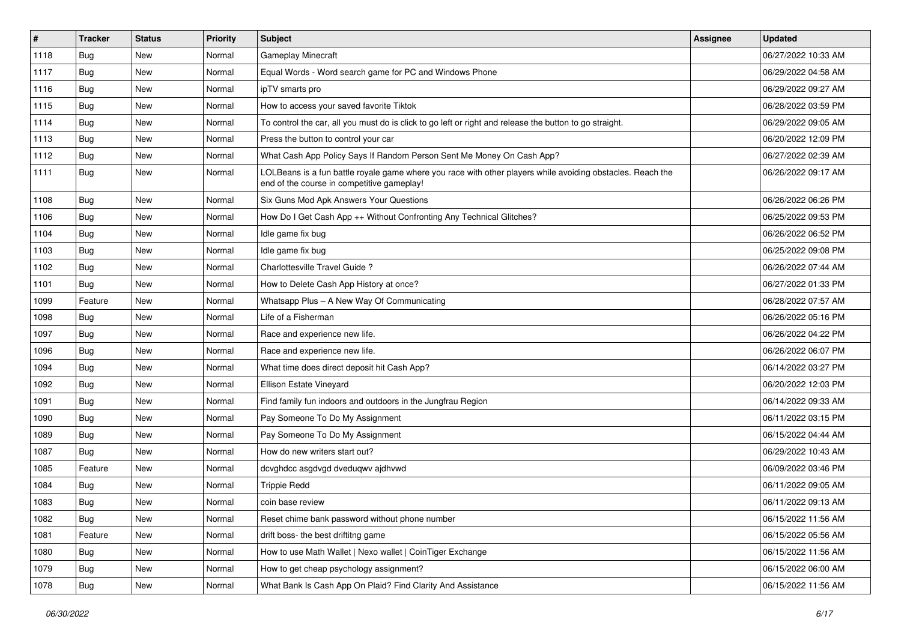| $\sharp$ | <b>Tracker</b> | <b>Status</b> | <b>Priority</b> | <b>Subject</b>                                                                                                                                           | Assignee | <b>Updated</b>      |
|----------|----------------|---------------|-----------------|----------------------------------------------------------------------------------------------------------------------------------------------------------|----------|---------------------|
| 1118     | Bug            | New           | Normal          | Gameplay Minecraft                                                                                                                                       |          | 06/27/2022 10:33 AM |
| 1117     | Bug            | <b>New</b>    | Normal          | Equal Words - Word search game for PC and Windows Phone                                                                                                  |          | 06/29/2022 04:58 AM |
| 1116     | Bug            | New           | Normal          | ipTV smarts pro                                                                                                                                          |          | 06/29/2022 09:27 AM |
| 1115     | Bug            | New           | Normal          | How to access your saved favorite Tiktok                                                                                                                 |          | 06/28/2022 03:59 PM |
| 1114     | Bug            | New           | Normal          | To control the car, all you must do is click to go left or right and release the button to go straight.                                                  |          | 06/29/2022 09:05 AM |
| 1113     | Bug            | New           | Normal          | Press the button to control your car                                                                                                                     |          | 06/20/2022 12:09 PM |
| 1112     | Bug            | New           | Normal          | What Cash App Policy Says If Random Person Sent Me Money On Cash App?                                                                                    |          | 06/27/2022 02:39 AM |
| 1111     | <b>Bug</b>     | New           | Normal          | LOLBeans is a fun battle royale game where you race with other players while avoiding obstacles. Reach the<br>end of the course in competitive gameplay! |          | 06/26/2022 09:17 AM |
| 1108     | Bug            | New           | Normal          | Six Guns Mod Apk Answers Your Questions                                                                                                                  |          | 06/26/2022 06:26 PM |
| 1106     | Bug            | New           | Normal          | How Do I Get Cash App ++ Without Confronting Any Technical Glitches?                                                                                     |          | 06/25/2022 09:53 PM |
| 1104     | Bug            | New           | Normal          | Idle game fix bug                                                                                                                                        |          | 06/26/2022 06:52 PM |
| 1103     | Bug            | <b>New</b>    | Normal          | Idle game fix bug                                                                                                                                        |          | 06/25/2022 09:08 PM |
| 1102     | Bug            | New           | Normal          | Charlottesville Travel Guide?                                                                                                                            |          | 06/26/2022 07:44 AM |
| 1101     | Bug            | <b>New</b>    | Normal          | How to Delete Cash App History at once?                                                                                                                  |          | 06/27/2022 01:33 PM |
| 1099     | Feature        | New           | Normal          | Whatsapp Plus - A New Way Of Communicating                                                                                                               |          | 06/28/2022 07:57 AM |
| 1098     | <b>Bug</b>     | New           | Normal          | Life of a Fisherman                                                                                                                                      |          | 06/26/2022 05:16 PM |
| 1097     | Bug            | New           | Normal          | Race and experience new life.                                                                                                                            |          | 06/26/2022 04:22 PM |
| 1096     | Bug            | New           | Normal          | Race and experience new life.                                                                                                                            |          | 06/26/2022 06:07 PM |
| 1094     | Bug            | New           | Normal          | What time does direct deposit hit Cash App?                                                                                                              |          | 06/14/2022 03:27 PM |
| 1092     | Bug            | New           | Normal          | Ellison Estate Vineyard                                                                                                                                  |          | 06/20/2022 12:03 PM |
| 1091     | Bug            | <b>New</b>    | Normal          | Find family fun indoors and outdoors in the Jungfrau Region                                                                                              |          | 06/14/2022 09:33 AM |
| 1090     | Bug            | <b>New</b>    | Normal          | Pay Someone To Do My Assignment                                                                                                                          |          | 06/11/2022 03:15 PM |
| 1089     | <b>Bug</b>     | New           | Normal          | Pay Someone To Do My Assignment                                                                                                                          |          | 06/15/2022 04:44 AM |
| 1087     | Bug            | New           | Normal          | How do new writers start out?                                                                                                                            |          | 06/29/2022 10:43 AM |
| 1085     | Feature        | New           | Normal          | dcvghdcc asgdvgd dveduqwv ajdhvwd                                                                                                                        |          | 06/09/2022 03:46 PM |
| 1084     | Bug            | New           | Normal          | <b>Trippie Redd</b>                                                                                                                                      |          | 06/11/2022 09:05 AM |
| 1083     | <b>Bug</b>     | New           | Normal          | coin base review                                                                                                                                         |          | 06/11/2022 09:13 AM |
| 1082     | <b>Bug</b>     | New           | Normal          | Reset chime bank password without phone number                                                                                                           |          | 06/15/2022 11:56 AM |
| 1081     | Feature        | New           | Normal          | drift boss- the best driftitng game                                                                                                                      |          | 06/15/2022 05:56 AM |
| 1080     | <b>Bug</b>     | I New         | Normal          | How to use Math Wallet   Nexo wallet   CoinTiger Exchange                                                                                                |          | 06/15/2022 11:56 AM |
| 1079     | <b>Bug</b>     | New           | Normal          | How to get cheap psychology assignment?                                                                                                                  |          | 06/15/2022 06:00 AM |
| 1078     | <b>Bug</b>     | New           | Normal          | What Bank Is Cash App On Plaid? Find Clarity And Assistance                                                                                              |          | 06/15/2022 11:56 AM |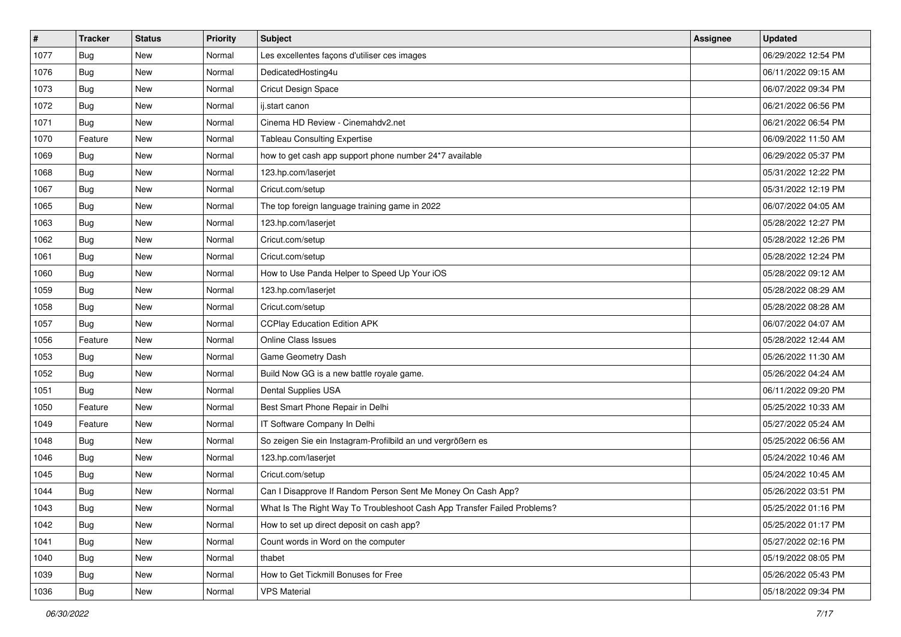| #    | <b>Tracker</b> | <b>Status</b> | <b>Priority</b> | <b>Subject</b>                                                           | <b>Assignee</b> | <b>Updated</b>      |
|------|----------------|---------------|-----------------|--------------------------------------------------------------------------|-----------------|---------------------|
| 1077 | Bug            | New           | Normal          | Les excellentes façons d'utiliser ces images                             |                 | 06/29/2022 12:54 PM |
| 1076 | Bug            | New           | Normal          | DedicatedHosting4u                                                       |                 | 06/11/2022 09:15 AM |
| 1073 | Bug            | New           | Normal          | Cricut Design Space                                                      |                 | 06/07/2022 09:34 PM |
| 1072 | Bug            | <b>New</b>    | Normal          | ij.start canon                                                           |                 | 06/21/2022 06:56 PM |
| 1071 | <b>Bug</b>     | <b>New</b>    | Normal          | Cinema HD Review - Cinemahdv2.net                                        |                 | 06/21/2022 06:54 PM |
| 1070 | Feature        | New           | Normal          | <b>Tableau Consulting Expertise</b>                                      |                 | 06/09/2022 11:50 AM |
| 1069 | Bug            | New           | Normal          | how to get cash app support phone number 24*7 available                  |                 | 06/29/2022 05:37 PM |
| 1068 | Bug            | New           | Normal          | 123.hp.com/laserjet                                                      |                 | 05/31/2022 12:22 PM |
| 1067 | Bug            | New           | Normal          | Cricut.com/setup                                                         |                 | 05/31/2022 12:19 PM |
| 1065 | Bug            | New           | Normal          | The top foreign language training game in 2022                           |                 | 06/07/2022 04:05 AM |
| 1063 | Bug            | New           | Normal          | 123.hp.com/laserjet                                                      |                 | 05/28/2022 12:27 PM |
| 1062 | Bug            | New           | Normal          | Cricut.com/setup                                                         |                 | 05/28/2022 12:26 PM |
| 1061 | Bug            | <b>New</b>    | Normal          | Cricut.com/setup                                                         |                 | 05/28/2022 12:24 PM |
| 1060 | <b>Bug</b>     | New           | Normal          | How to Use Panda Helper to Speed Up Your iOS                             |                 | 05/28/2022 09:12 AM |
| 1059 | Bug            | New           | Normal          | 123.hp.com/laserjet                                                      |                 | 05/28/2022 08:29 AM |
| 1058 | Bug            | New           | Normal          | Cricut.com/setup                                                         |                 | 05/28/2022 08:28 AM |
| 1057 | Bug            | <b>New</b>    | Normal          | <b>CCPlay Education Edition APK</b>                                      |                 | 06/07/2022 04:07 AM |
| 1056 | Feature        | <b>New</b>    | Normal          | Online Class Issues                                                      |                 | 05/28/2022 12:44 AM |
| 1053 | Bug            | New           | Normal          | Game Geometry Dash                                                       |                 | 05/26/2022 11:30 AM |
| 1052 | Bug            | <b>New</b>    | Normal          | Build Now GG is a new battle royale game.                                |                 | 05/26/2022 04:24 AM |
| 1051 | Bug            | New           | Normal          | Dental Supplies USA                                                      |                 | 06/11/2022 09:20 PM |
| 1050 | Feature        | <b>New</b>    | Normal          | Best Smart Phone Repair in Delhi                                         |                 | 05/25/2022 10:33 AM |
| 1049 | Feature        | <b>New</b>    | Normal          | IT Software Company In Delhi                                             |                 | 05/27/2022 05:24 AM |
| 1048 | Bug            | New           | Normal          | So zeigen Sie ein Instagram-Profilbild an und vergrößern es              |                 | 05/25/2022 06:56 AM |
| 1046 | Bug            | New           | Normal          | 123.hp.com/laserjet                                                      |                 | 05/24/2022 10:46 AM |
| 1045 | Bug            | New           | Normal          | Cricut.com/setup                                                         |                 | 05/24/2022 10:45 AM |
| 1044 | Bug            | New           | Normal          | Can I Disapprove If Random Person Sent Me Money On Cash App?             |                 | 05/26/2022 03:51 PM |
| 1043 | <b>Bug</b>     | New           | Normal          | What Is The Right Way To Troubleshoot Cash App Transfer Failed Problems? |                 | 05/25/2022 01:16 PM |
| 1042 | Bug            | New           | Normal          | How to set up direct deposit on cash app?                                |                 | 05/25/2022 01:17 PM |
| 1041 | <b>Bug</b>     | New           | Normal          | Count words in Word on the computer                                      |                 | 05/27/2022 02:16 PM |
| 1040 | Bug            | New           | Normal          | thabet                                                                   |                 | 05/19/2022 08:05 PM |
| 1039 | Bug            | New           | Normal          | How to Get Tickmill Bonuses for Free                                     |                 | 05/26/2022 05:43 PM |
| 1036 | <b>Bug</b>     | New           | Normal          | <b>VPS Material</b>                                                      |                 | 05/18/2022 09:34 PM |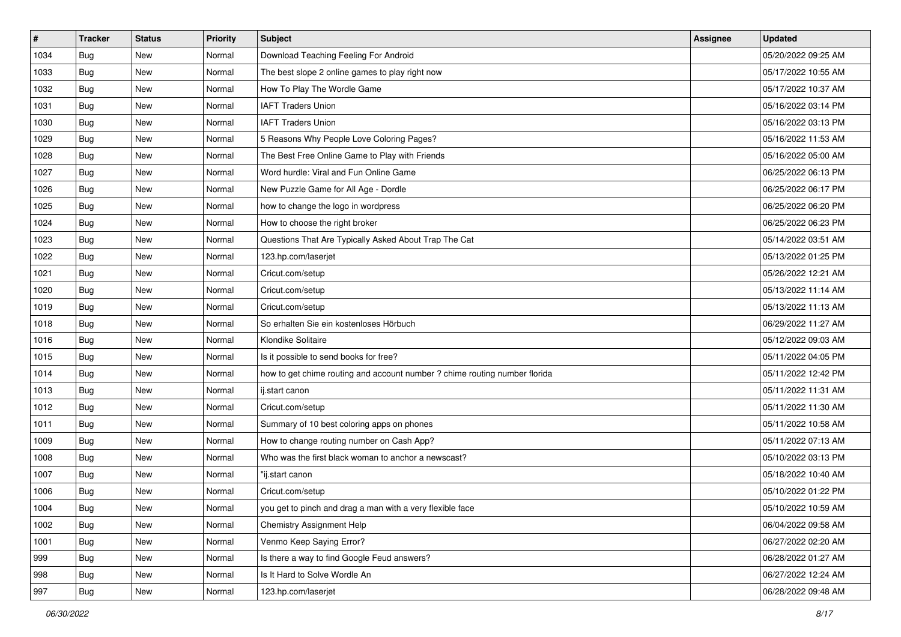| #    | <b>Tracker</b> | <b>Status</b> | <b>Priority</b> | <b>Subject</b>                                                             | <b>Assignee</b> | <b>Updated</b>      |
|------|----------------|---------------|-----------------|----------------------------------------------------------------------------|-----------------|---------------------|
| 1034 | Bug            | New           | Normal          | Download Teaching Feeling For Android                                      |                 | 05/20/2022 09:25 AM |
| 1033 | Bug            | <b>New</b>    | Normal          | The best slope 2 online games to play right now                            |                 | 05/17/2022 10:55 AM |
| 1032 | Bug            | New           | Normal          | How To Play The Wordle Game                                                |                 | 05/17/2022 10:37 AM |
| 1031 | Bug            | New           | Normal          | <b>IAFT Traders Union</b>                                                  |                 | 05/16/2022 03:14 PM |
| 1030 | <b>Bug</b>     | <b>New</b>    | Normal          | <b>IAFT Traders Union</b>                                                  |                 | 05/16/2022 03:13 PM |
| 1029 | Bug            | New           | Normal          | 5 Reasons Why People Love Coloring Pages?                                  |                 | 05/16/2022 11:53 AM |
| 1028 | Bug            | New           | Normal          | The Best Free Online Game to Play with Friends                             |                 | 05/16/2022 05:00 AM |
| 1027 | Bug            | New           | Normal          | Word hurdle: Viral and Fun Online Game                                     |                 | 06/25/2022 06:13 PM |
| 1026 | Bug            | New           | Normal          | New Puzzle Game for All Age - Dordle                                       |                 | 06/25/2022 06:17 PM |
| 1025 | Bug            | New           | Normal          | how to change the logo in wordpress                                        |                 | 06/25/2022 06:20 PM |
| 1024 | Bug            | New           | Normal          | How to choose the right broker                                             |                 | 06/25/2022 06:23 PM |
| 1023 | Bug            | New           | Normal          | Questions That Are Typically Asked About Trap The Cat                      |                 | 05/14/2022 03:51 AM |
| 1022 | Bug            | <b>New</b>    | Normal          | 123.hp.com/laserjet                                                        |                 | 05/13/2022 01:25 PM |
| 1021 | Bug            | New           | Normal          | Cricut.com/setup                                                           |                 | 05/26/2022 12:21 AM |
| 1020 | Bug            | New           | Normal          | Cricut.com/setup                                                           |                 | 05/13/2022 11:14 AM |
| 1019 | Bug            | New           | Normal          | Cricut.com/setup                                                           |                 | 05/13/2022 11:13 AM |
| 1018 | Bug            | New           | Normal          | So erhalten Sie ein kostenloses Hörbuch                                    |                 | 06/29/2022 11:27 AM |
| 1016 | Bug            | <b>New</b>    | Normal          | Klondike Solitaire                                                         |                 | 05/12/2022 09:03 AM |
| 1015 | Bug            | New           | Normal          | Is it possible to send books for free?                                     |                 | 05/11/2022 04:05 PM |
| 1014 | Bug            | <b>New</b>    | Normal          | how to get chime routing and account number ? chime routing number florida |                 | 05/11/2022 12:42 PM |
| 1013 | Bug            | New           | Normal          | ij.start canon                                                             |                 | 05/11/2022 11:31 AM |
| 1012 | Bug            | New           | Normal          | Cricut.com/setup                                                           |                 | 05/11/2022 11:30 AM |
| 1011 | Bug            | <b>New</b>    | Normal          | Summary of 10 best coloring apps on phones                                 |                 | 05/11/2022 10:58 AM |
| 1009 | Bug            | New           | Normal          | How to change routing number on Cash App?                                  |                 | 05/11/2022 07:13 AM |
| 1008 | Bug            | New           | Normal          | Who was the first black woman to anchor a newscast?                        |                 | 05/10/2022 03:13 PM |
| 1007 | Bug            | New           | Normal          | "ij.start canon                                                            |                 | 05/18/2022 10:40 AM |
| 1006 | Bug            | New           | Normal          | Cricut.com/setup                                                           |                 | 05/10/2022 01:22 PM |
| 1004 | <b>Bug</b>     | New           | Normal          | you get to pinch and drag a man with a very flexible face                  |                 | 05/10/2022 10:59 AM |
| 1002 | Bug            | New           | Normal          | Chemistry Assignment Help                                                  |                 | 06/04/2022 09:58 AM |
| 1001 | <b>Bug</b>     | New           | Normal          | Venmo Keep Saying Error?                                                   |                 | 06/27/2022 02:20 AM |
| 999  | Bug            | New           | Normal          | Is there a way to find Google Feud answers?                                |                 | 06/28/2022 01:27 AM |
| 998  | Bug            | New           | Normal          | Is It Hard to Solve Wordle An                                              |                 | 06/27/2022 12:24 AM |
| 997  | <b>Bug</b>     | New           | Normal          | 123.hp.com/laserjet                                                        |                 | 06/28/2022 09:48 AM |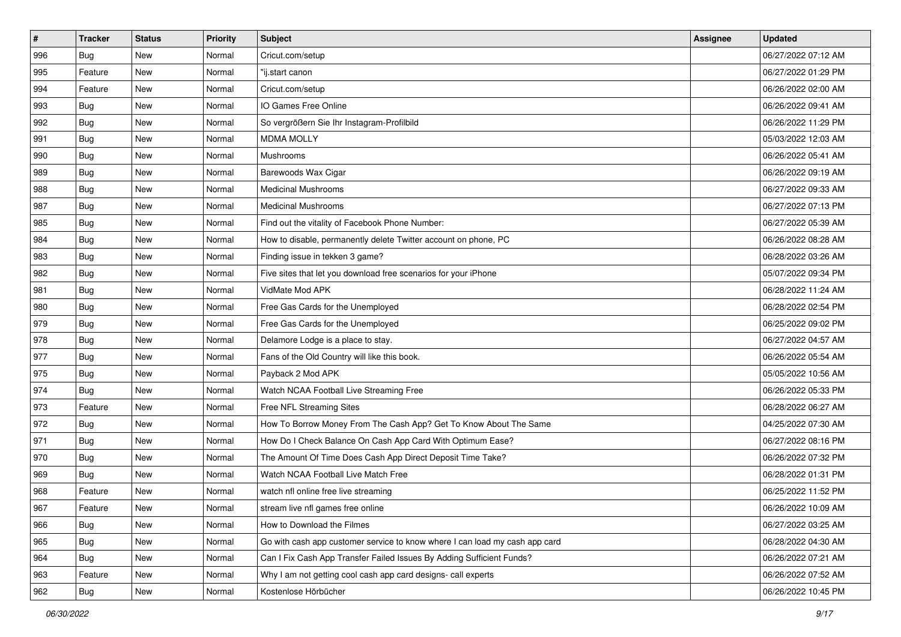| #   | <b>Tracker</b> | <b>Status</b> | <b>Priority</b> | <b>Subject</b>                                                              | <b>Assignee</b> | <b>Updated</b>      |
|-----|----------------|---------------|-----------------|-----------------------------------------------------------------------------|-----------------|---------------------|
| 996 | Bug            | New           | Normal          | Cricut.com/setup                                                            |                 | 06/27/2022 07:12 AM |
| 995 | Feature        | <b>New</b>    | Normal          | "ij.start canon                                                             |                 | 06/27/2022 01:29 PM |
| 994 | Feature        | New           | Normal          | Cricut.com/setup                                                            |                 | 06/26/2022 02:00 AM |
| 993 | <b>Bug</b>     | <b>New</b>    | Normal          | IO Games Free Online                                                        |                 | 06/26/2022 09:41 AM |
| 992 | Bug            | <b>New</b>    | Normal          | So vergrößern Sie Ihr Instagram-Profilbild                                  |                 | 06/26/2022 11:29 PM |
| 991 | Bug            | New           | Normal          | <b>MDMA MOLLY</b>                                                           |                 | 05/03/2022 12:03 AM |
| 990 | <b>Bug</b>     | <b>New</b>    | Normal          | Mushrooms                                                                   |                 | 06/26/2022 05:41 AM |
| 989 | Bug            | <b>New</b>    | Normal          | Barewoods Wax Cigar                                                         |                 | 06/26/2022 09:19 AM |
| 988 | Bug            | <b>New</b>    | Normal          | <b>Medicinal Mushrooms</b>                                                  |                 | 06/27/2022 09:33 AM |
| 987 | Bug            | <b>New</b>    | Normal          | <b>Medicinal Mushrooms</b>                                                  |                 | 06/27/2022 07:13 PM |
| 985 | Bug            | New           | Normal          | Find out the vitality of Facebook Phone Number:                             |                 | 06/27/2022 05:39 AM |
| 984 | Bug            | <b>New</b>    | Normal          | How to disable, permanently delete Twitter account on phone, PC             |                 | 06/26/2022 08:28 AM |
| 983 | Bug            | <b>New</b>    | Normal          | Finding issue in tekken 3 game?                                             |                 | 06/28/2022 03:26 AM |
| 982 | <b>Bug</b>     | <b>New</b>    | Normal          | Five sites that let you download free scenarios for your iPhone             |                 | 05/07/2022 09:34 PM |
| 981 | Bug            | <b>New</b>    | Normal          | VidMate Mod APK                                                             |                 | 06/28/2022 11:24 AM |
| 980 | Bug            | New           | Normal          | Free Gas Cards for the Unemployed                                           |                 | 06/28/2022 02:54 PM |
| 979 | Bug            | <b>New</b>    | Normal          | Free Gas Cards for the Unemployed                                           |                 | 06/25/2022 09:02 PM |
| 978 | Bug            | New           | Normal          | Delamore Lodge is a place to stay.                                          |                 | 06/27/2022 04:57 AM |
| 977 | Bug            | <b>New</b>    | Normal          | Fans of the Old Country will like this book.                                |                 | 06/26/2022 05:54 AM |
| 975 | Bug            | New           | Normal          | Payback 2 Mod APK                                                           |                 | 05/05/2022 10:56 AM |
| 974 | Bug            | New           | Normal          | Watch NCAA Football Live Streaming Free                                     |                 | 06/26/2022 05:33 PM |
| 973 | Feature        | <b>New</b>    | Normal          | Free NFL Streaming Sites                                                    |                 | 06/28/2022 06:27 AM |
| 972 | Bug            | <b>New</b>    | Normal          | How To Borrow Money From The Cash App? Get To Know About The Same           |                 | 04/25/2022 07:30 AM |
| 971 | <b>Bug</b>     | <b>New</b>    | Normal          | How Do I Check Balance On Cash App Card With Optimum Ease?                  |                 | 06/27/2022 08:16 PM |
| 970 | <b>Bug</b>     | <b>New</b>    | Normal          | The Amount Of Time Does Cash App Direct Deposit Time Take?                  |                 | 06/26/2022 07:32 PM |
| 969 | Bug            | <b>New</b>    | Normal          | Watch NCAA Football Live Match Free                                         |                 | 06/28/2022 01:31 PM |
| 968 | Feature        | <b>New</b>    | Normal          | watch nfl online free live streaming                                        |                 | 06/25/2022 11:52 PM |
| 967 | Feature        | New           | Normal          | stream live nfl games free online                                           |                 | 06/26/2022 10:09 AM |
| 966 | Bug            | New           | Normal          | How to Download the Filmes                                                  |                 | 06/27/2022 03:25 AM |
| 965 | Bug            | New           | Normal          | Go with cash app customer service to know where I can load my cash app card |                 | 06/28/2022 04:30 AM |
| 964 | Bug            | New           | Normal          | Can I Fix Cash App Transfer Failed Issues By Adding Sufficient Funds?       |                 | 06/26/2022 07:21 AM |
| 963 | Feature        | New           | Normal          | Why I am not getting cool cash app card designs- call experts               |                 | 06/26/2022 07:52 AM |
| 962 | <b>Bug</b>     | New           | Normal          | Kostenlose Hörbücher                                                        |                 | 06/26/2022 10:45 PM |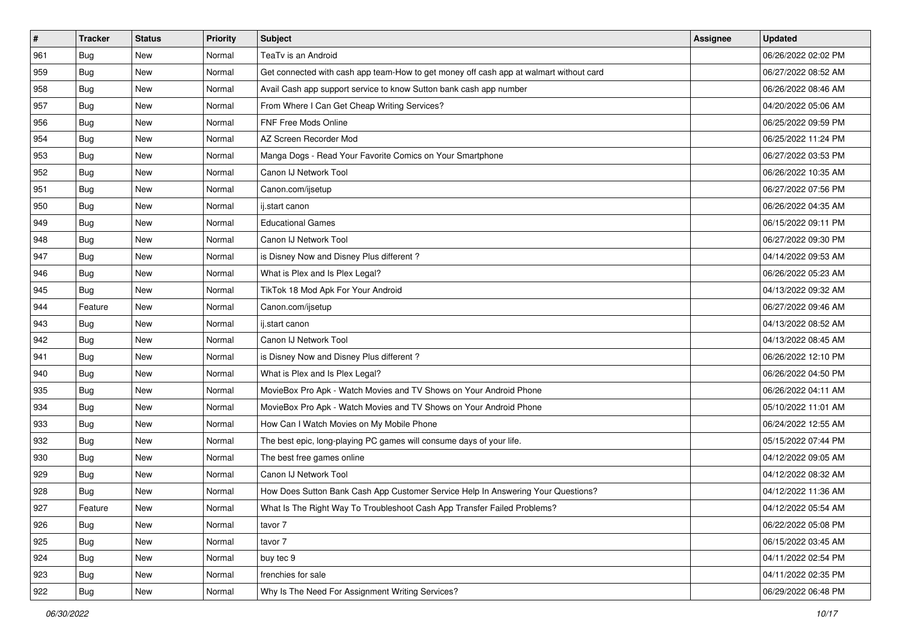| #   | <b>Tracker</b> | <b>Status</b> | <b>Priority</b> | <b>Subject</b>                                                                         | Assignee | <b>Updated</b>      |
|-----|----------------|---------------|-----------------|----------------------------------------------------------------------------------------|----------|---------------------|
| 961 | Bug            | <b>New</b>    | Normal          | TeaTv is an Android                                                                    |          | 06/26/2022 02:02 PM |
| 959 | Bug            | <b>New</b>    | Normal          | Get connected with cash app team-How to get money off cash app at walmart without card |          | 06/27/2022 08:52 AM |
| 958 | Bug            | <b>New</b>    | Normal          | Avail Cash app support service to know Sutton bank cash app number                     |          | 06/26/2022 08:46 AM |
| 957 | Bug            | <b>New</b>    | Normal          | From Where I Can Get Cheap Writing Services?                                           |          | 04/20/2022 05:06 AM |
| 956 | Bug            | <b>New</b>    | Normal          | FNF Free Mods Online                                                                   |          | 06/25/2022 09:59 PM |
| 954 | Bug            | New           | Normal          | AZ Screen Recorder Mod                                                                 |          | 06/25/2022 11:24 PM |
| 953 | <b>Bug</b>     | <b>New</b>    | Normal          | Manga Dogs - Read Your Favorite Comics on Your Smartphone                              |          | 06/27/2022 03:53 PM |
| 952 | Bug            | <b>New</b>    | Normal          | Canon IJ Network Tool                                                                  |          | 06/26/2022 10:35 AM |
| 951 | Bug            | <b>New</b>    | Normal          | Canon.com/ijsetup                                                                      |          | 06/27/2022 07:56 PM |
| 950 | Bug            | <b>New</b>    | Normal          | ij.start canon                                                                         |          | 06/26/2022 04:35 AM |
| 949 | Bug            | New           | Normal          | <b>Educational Games</b>                                                               |          | 06/15/2022 09:11 PM |
| 948 | <b>Bug</b>     | <b>New</b>    | Normal          | Canon IJ Network Tool                                                                  |          | 06/27/2022 09:30 PM |
| 947 | Bug            | <b>New</b>    | Normal          | is Disney Now and Disney Plus different?                                               |          | 04/14/2022 09:53 AM |
| 946 | <b>Bug</b>     | <b>New</b>    | Normal          | What is Plex and Is Plex Legal?                                                        |          | 06/26/2022 05:23 AM |
| 945 | Bug            | <b>New</b>    | Normal          | TikTok 18 Mod Apk For Your Android                                                     |          | 04/13/2022 09:32 AM |
| 944 | Feature        | New           | Normal          | Canon.com/ijsetup                                                                      |          | 06/27/2022 09:46 AM |
| 943 | Bug            | <b>New</b>    | Normal          | ij.start canon                                                                         |          | 04/13/2022 08:52 AM |
| 942 | Bug            | <b>New</b>    | Normal          | Canon IJ Network Tool                                                                  |          | 04/13/2022 08:45 AM |
| 941 | Bug            | <b>New</b>    | Normal          | is Disney Now and Disney Plus different?                                               |          | 06/26/2022 12:10 PM |
| 940 | Bug            | <b>New</b>    | Normal          | What is Plex and Is Plex Legal?                                                        |          | 06/26/2022 04:50 PM |
| 935 | Bug            | <b>New</b>    | Normal          | MovieBox Pro Apk - Watch Movies and TV Shows on Your Android Phone                     |          | 06/26/2022 04:11 AM |
| 934 | <b>Bug</b>     | <b>New</b>    | Normal          | MovieBox Pro Apk - Watch Movies and TV Shows on Your Android Phone                     |          | 05/10/2022 11:01 AM |
| 933 | Bug            | <b>New</b>    | Normal          | How Can I Watch Movies on My Mobile Phone                                              |          | 06/24/2022 12:55 AM |
| 932 | Bug            | New           | Normal          | The best epic, long-playing PC games will consume days of your life.                   |          | 05/15/2022 07:44 PM |
| 930 | <b>Bug</b>     | <b>New</b>    | Normal          | The best free games online                                                             |          | 04/12/2022 09:05 AM |
| 929 | Bug            | <b>New</b>    | Normal          | Canon IJ Network Tool                                                                  |          | 04/12/2022 08:32 AM |
| 928 | <b>Bug</b>     | <b>New</b>    | Normal          | How Does Sutton Bank Cash App Customer Service Help In Answering Your Questions?       |          | 04/12/2022 11:36 AM |
| 927 | Feature        | New           | Normal          | What Is The Right Way To Troubleshoot Cash App Transfer Failed Problems?               |          | 04/12/2022 05:54 AM |
| 926 | Bug            | New           | Normal          | tavor 7                                                                                |          | 06/22/2022 05:08 PM |
| 925 | Bug            | New           | Normal          | tavor 7                                                                                |          | 06/15/2022 03:45 AM |
| 924 | Bug            | New           | Normal          | buy tec 9                                                                              |          | 04/11/2022 02:54 PM |
| 923 | Bug            | New           | Normal          | frenchies for sale                                                                     |          | 04/11/2022 02:35 PM |
| 922 | <b>Bug</b>     | New           | Normal          | Why Is The Need For Assignment Writing Services?                                       |          | 06/29/2022 06:48 PM |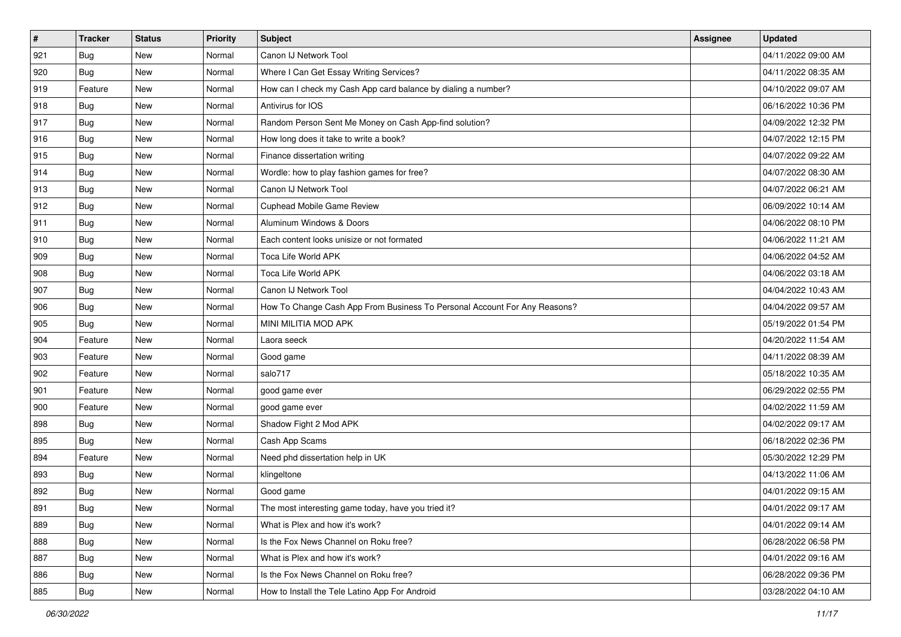| #   | <b>Tracker</b> | <b>Status</b> | <b>Priority</b> | <b>Subject</b>                                                            | <b>Assignee</b> | <b>Updated</b>      |
|-----|----------------|---------------|-----------------|---------------------------------------------------------------------------|-----------------|---------------------|
| 921 | Bug            | New           | Normal          | Canon IJ Network Tool                                                     |                 | 04/11/2022 09:00 AM |
| 920 | Bug            | <b>New</b>    | Normal          | Where I Can Get Essay Writing Services?                                   |                 | 04/11/2022 08:35 AM |
| 919 | Feature        | <b>New</b>    | Normal          | How can I check my Cash App card balance by dialing a number?             |                 | 04/10/2022 09:07 AM |
| 918 | Bug            | <b>New</b>    | Normal          | Antivirus for IOS                                                         |                 | 06/16/2022 10:36 PM |
| 917 | <b>Bug</b>     | <b>New</b>    | Normal          | Random Person Sent Me Money on Cash App-find solution?                    |                 | 04/09/2022 12:32 PM |
| 916 | Bug            | New           | Normal          | How long does it take to write a book?                                    |                 | 04/07/2022 12:15 PM |
| 915 | Bug            | <b>New</b>    | Normal          | Finance dissertation writing                                              |                 | 04/07/2022 09:22 AM |
| 914 | Bug            | <b>New</b>    | Normal          | Wordle: how to play fashion games for free?                               |                 | 04/07/2022 08:30 AM |
| 913 | Bug            | <b>New</b>    | Normal          | Canon IJ Network Tool                                                     |                 | 04/07/2022 06:21 AM |
| 912 | Bug            | <b>New</b>    | Normal          | Cuphead Mobile Game Review                                                |                 | 06/09/2022 10:14 AM |
| 911 | Bug            | New           | Normal          | Aluminum Windows & Doors                                                  |                 | 04/06/2022 08:10 PM |
| 910 | <b>Bug</b>     | <b>New</b>    | Normal          | Each content looks unisize or not formated                                |                 | 04/06/2022 11:21 AM |
| 909 | Bug            | <b>New</b>    | Normal          | Toca Life World APK                                                       |                 | 04/06/2022 04:52 AM |
| 908 | <b>Bug</b>     | <b>New</b>    | Normal          | Toca Life World APK                                                       |                 | 04/06/2022 03:18 AM |
| 907 | <b>Bug</b>     | <b>New</b>    | Normal          | Canon IJ Network Tool                                                     |                 | 04/04/2022 10:43 AM |
| 906 | Bug            | New           | Normal          | How To Change Cash App From Business To Personal Account For Any Reasons? |                 | 04/04/2022 09:57 AM |
| 905 | Bug            | <b>New</b>    | Normal          | MINI MILITIA MOD APK                                                      |                 | 05/19/2022 01:54 PM |
| 904 | Feature        | <b>New</b>    | Normal          | Laora seeck                                                               |                 | 04/20/2022 11:54 AM |
| 903 | Feature        | New           | Normal          | Good game                                                                 |                 | 04/11/2022 08:39 AM |
| 902 | Feature        | <b>New</b>    | Normal          | salo717                                                                   |                 | 05/18/2022 10:35 AM |
| 901 | Feature        | <b>New</b>    | Normal          | good game ever                                                            |                 | 06/29/2022 02:55 PM |
| 900 | Feature        | <b>New</b>    | Normal          | good game ever                                                            |                 | 04/02/2022 11:59 AM |
| 898 | <b>Bug</b>     | <b>New</b>    | Normal          | Shadow Fight 2 Mod APK                                                    |                 | 04/02/2022 09:17 AM |
| 895 | Bug            | New           | Normal          | Cash App Scams                                                            |                 | 06/18/2022 02:36 PM |
| 894 | Feature        | <b>New</b>    | Normal          | Need phd dissertation help in UK                                          |                 | 05/30/2022 12:29 PM |
| 893 | Bug            | <b>New</b>    | Normal          | klingeltone                                                               |                 | 04/13/2022 11:06 AM |
| 892 | <b>Bug</b>     | New           | Normal          | Good game                                                                 |                 | 04/01/2022 09:15 AM |
| 891 | <b>Bug</b>     | New           | Normal          | The most interesting game today, have you tried it?                       |                 | 04/01/2022 09:17 AM |
| 889 | Bug            | New           | Normal          | What is Plex and how it's work?                                           |                 | 04/01/2022 09:14 AM |
| 888 | Bug            | New           | Normal          | Is the Fox News Channel on Roku free?                                     |                 | 06/28/2022 06:58 PM |
| 887 | Bug            | New           | Normal          | What is Plex and how it's work?                                           |                 | 04/01/2022 09:16 AM |
| 886 | Bug            | New           | Normal          | Is the Fox News Channel on Roku free?                                     |                 | 06/28/2022 09:36 PM |
| 885 | <b>Bug</b>     | New           | Normal          | How to Install the Tele Latino App For Android                            |                 | 03/28/2022 04:10 AM |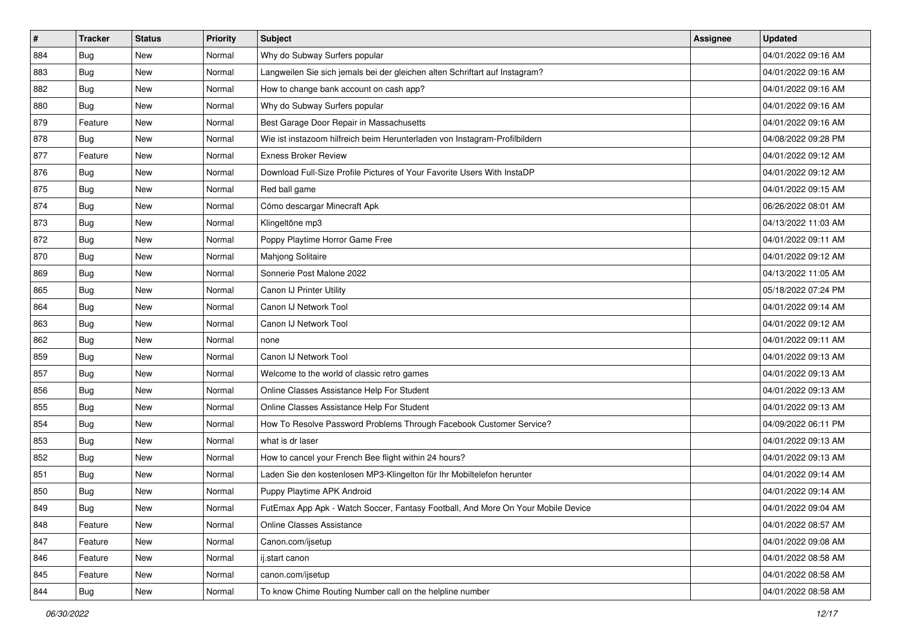| #   | <b>Tracker</b> | <b>Status</b> | <b>Priority</b> | Subject                                                                          | Assignee | <b>Updated</b>      |
|-----|----------------|---------------|-----------------|----------------------------------------------------------------------------------|----------|---------------------|
| 884 | Bug            | New           | Normal          | Why do Subway Surfers popular                                                    |          | 04/01/2022 09:16 AM |
| 883 | Bug            | New           | Normal          | Langweilen Sie sich jemals bei der gleichen alten Schriftart auf Instagram?      |          | 04/01/2022 09:16 AM |
| 882 | Bug            | New           | Normal          | How to change bank account on cash app?                                          |          | 04/01/2022 09:16 AM |
| 880 | Bug            | <b>New</b>    | Normal          | Why do Subway Surfers popular                                                    |          | 04/01/2022 09:16 AM |
| 879 | Feature        | <b>New</b>    | Normal          | Best Garage Door Repair in Massachusetts                                         |          | 04/01/2022 09:16 AM |
| 878 | Bug            | New           | Normal          | Wie ist instazoom hilfreich beim Herunterladen von Instagram-Profilbildern       |          | 04/08/2022 09:28 PM |
| 877 | Feature        | New           | Normal          | <b>Exness Broker Review</b>                                                      |          | 04/01/2022 09:12 AM |
| 876 | Bug            | New           | Normal          | Download Full-Size Profile Pictures of Your Favorite Users With InstaDP          |          | 04/01/2022 09:12 AM |
| 875 | Bug            | New           | Normal          | Red ball game                                                                    |          | 04/01/2022 09:15 AM |
| 874 | Bug            | New           | Normal          | Cómo descargar Minecraft Apk                                                     |          | 06/26/2022 08:01 AM |
| 873 | <b>Bug</b>     | New           | Normal          | Klingeltöne mp3                                                                  |          | 04/13/2022 11:03 AM |
| 872 | Bug            | New           | Normal          | Poppy Playtime Horror Game Free                                                  |          | 04/01/2022 09:11 AM |
| 870 | Bug            | New           | Normal          | Mahjong Solitaire                                                                |          | 04/01/2022 09:12 AM |
| 869 | Bug            | New           | Normal          | Sonnerie Post Malone 2022                                                        |          | 04/13/2022 11:05 AM |
| 865 | <b>Bug</b>     | New           | Normal          | Canon IJ Printer Utility                                                         |          | 05/18/2022 07:24 PM |
| 864 | Bug            | New           | Normal          | Canon IJ Network Tool                                                            |          | 04/01/2022 09:14 AM |
| 863 | Bug            | New           | Normal          | Canon IJ Network Tool                                                            |          | 04/01/2022 09:12 AM |
| 862 | Bug            | New           | Normal          | none                                                                             |          | 04/01/2022 09:11 AM |
| 859 | Bug            | New           | Normal          | Canon IJ Network Tool                                                            |          | 04/01/2022 09:13 AM |
| 857 | Bug            | New           | Normal          | Welcome to the world of classic retro games                                      |          | 04/01/2022 09:13 AM |
| 856 | Bug            | New           | Normal          | Online Classes Assistance Help For Student                                       |          | 04/01/2022 09:13 AM |
| 855 | Bug            | New           | Normal          | Online Classes Assistance Help For Student                                       |          | 04/01/2022 09:13 AM |
| 854 | Bug            | <b>New</b>    | Normal          | How To Resolve Password Problems Through Facebook Customer Service?              |          | 04/09/2022 06:11 PM |
| 853 | <b>Bug</b>     | New           | Normal          | what is dr laser                                                                 |          | 04/01/2022 09:13 AM |
| 852 | Bug            | New           | Normal          | How to cancel your French Bee flight within 24 hours?                            |          | 04/01/2022 09:13 AM |
| 851 | Bug            | New           | Normal          | Laden Sie den kostenlosen MP3-Klingelton für Ihr Mobiltelefon herunter           |          | 04/01/2022 09:14 AM |
| 850 | <b>Bug</b>     | New           | Normal          | Puppy Playtime APK Android                                                       |          | 04/01/2022 09:14 AM |
| 849 | Bug            | New           | Normal          | FutEmax App Apk - Watch Soccer, Fantasy Football, And More On Your Mobile Device |          | 04/01/2022 09:04 AM |
| 848 | Feature        | New           | Normal          | <b>Online Classes Assistance</b>                                                 |          | 04/01/2022 08:57 AM |
| 847 | Feature        | New           | Normal          | Canon.com/ijsetup                                                                |          | 04/01/2022 09:08 AM |
| 846 | Feature        | New           | Normal          | ij.start canon                                                                   |          | 04/01/2022 08:58 AM |
| 845 | Feature        | New           | Normal          | canon.com/ijsetup                                                                |          | 04/01/2022 08:58 AM |
| 844 | <b>Bug</b>     | New           | Normal          | To know Chime Routing Number call on the helpline number                         |          | 04/01/2022 08:58 AM |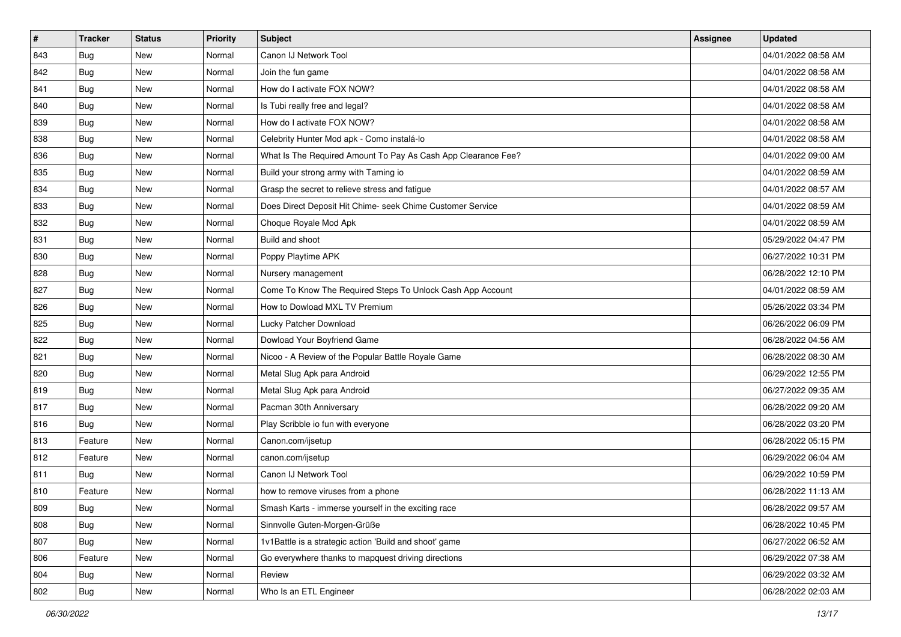| #   | <b>Tracker</b> | <b>Status</b> | <b>Priority</b> | Subject                                                       | <b>Assignee</b> | <b>Updated</b>      |
|-----|----------------|---------------|-----------------|---------------------------------------------------------------|-----------------|---------------------|
| 843 | Bug            | New           | Normal          | Canon IJ Network Tool                                         |                 | 04/01/2022 08:58 AM |
| 842 | Bug            | <b>New</b>    | Normal          | Join the fun game                                             |                 | 04/01/2022 08:58 AM |
| 841 | Bug            | New           | Normal          | How do I activate FOX NOW?                                    |                 | 04/01/2022 08:58 AM |
| 840 | Bug            | <b>New</b>    | Normal          | Is Tubi really free and legal?                                |                 | 04/01/2022 08:58 AM |
| 839 | Bug            | <b>New</b>    | Normal          | How do I activate FOX NOW?                                    |                 | 04/01/2022 08:58 AM |
| 838 | Bug            | <b>New</b>    | Normal          | Celebrity Hunter Mod apk - Como instalá-lo                    |                 | 04/01/2022 08:58 AM |
| 836 | Bug            | <b>New</b>    | Normal          | What Is The Required Amount To Pay As Cash App Clearance Fee? |                 | 04/01/2022 09:00 AM |
| 835 | Bug            | <b>New</b>    | Normal          | Build your strong army with Taming io                         |                 | 04/01/2022 08:59 AM |
| 834 | Bug            | <b>New</b>    | Normal          | Grasp the secret to relieve stress and fatigue                |                 | 04/01/2022 08:57 AM |
| 833 | Bug            | <b>New</b>    | Normal          | Does Direct Deposit Hit Chime- seek Chime Customer Service    |                 | 04/01/2022 08:59 AM |
| 832 | Bug            | New           | Normal          | Choque Royale Mod Apk                                         |                 | 04/01/2022 08:59 AM |
| 831 | Bug            | <b>New</b>    | Normal          | Build and shoot                                               |                 | 05/29/2022 04:47 PM |
| 830 | Bug            | <b>New</b>    | Normal          | Poppy Playtime APK                                            |                 | 06/27/2022 10:31 PM |
| 828 | Bug            | <b>New</b>    | Normal          | Nursery management                                            |                 | 06/28/2022 12:10 PM |
| 827 | <b>Bug</b>     | <b>New</b>    | Normal          | Come To Know The Required Steps To Unlock Cash App Account    |                 | 04/01/2022 08:59 AM |
| 826 | Bug            | New           | Normal          | How to Dowload MXL TV Premium                                 |                 | 05/26/2022 03:34 PM |
| 825 | Bug            | <b>New</b>    | Normal          | Lucky Patcher Download                                        |                 | 06/26/2022 06:09 PM |
| 822 | Bug            | <b>New</b>    | Normal          | Dowload Your Boyfriend Game                                   |                 | 06/28/2022 04:56 AM |
| 821 | Bug            | <b>New</b>    | Normal          | Nicoo - A Review of the Popular Battle Royale Game            |                 | 06/28/2022 08:30 AM |
| 820 | Bug            | New           | Normal          | Metal Slug Apk para Android                                   |                 | 06/29/2022 12:55 PM |
| 819 | Bug            | New           | Normal          | Metal Slug Apk para Android                                   |                 | 06/27/2022 09:35 AM |
| 817 | Bug            | <b>New</b>    | Normal          | Pacman 30th Anniversary                                       |                 | 06/28/2022 09:20 AM |
| 816 | Bug            | <b>New</b>    | Normal          | Play Scribble io fun with everyone                            |                 | 06/28/2022 03:20 PM |
| 813 | Feature        | New           | Normal          | Canon.com/ijsetup                                             |                 | 06/28/2022 05:15 PM |
| 812 | Feature        | <b>New</b>    | Normal          | canon.com/ijsetup                                             |                 | 06/29/2022 06:04 AM |
| 811 | Bug            | <b>New</b>    | Normal          | Canon IJ Network Tool                                         |                 | 06/29/2022 10:59 PM |
| 810 | Feature        | New           | Normal          | how to remove viruses from a phone                            |                 | 06/28/2022 11:13 AM |
| 809 | <b>Bug</b>     | New           | Normal          | Smash Karts - immerse yourself in the exciting race           |                 | 06/28/2022 09:57 AM |
| 808 | Bug            | New           | Normal          | Sinnvolle Guten-Morgen-Grüße                                  |                 | 06/28/2022 10:45 PM |
| 807 | Bug            | New           | Normal          | 1v1Battle is a strategic action 'Build and shoot' game        |                 | 06/27/2022 06:52 AM |
| 806 | Feature        | New           | Normal          | Go everywhere thanks to mapquest driving directions           |                 | 06/29/2022 07:38 AM |
| 804 | <b>Bug</b>     | New           | Normal          | Review                                                        |                 | 06/29/2022 03:32 AM |
| 802 | <b>Bug</b>     | New           | Normal          | Who Is an ETL Engineer                                        |                 | 06/28/2022 02:03 AM |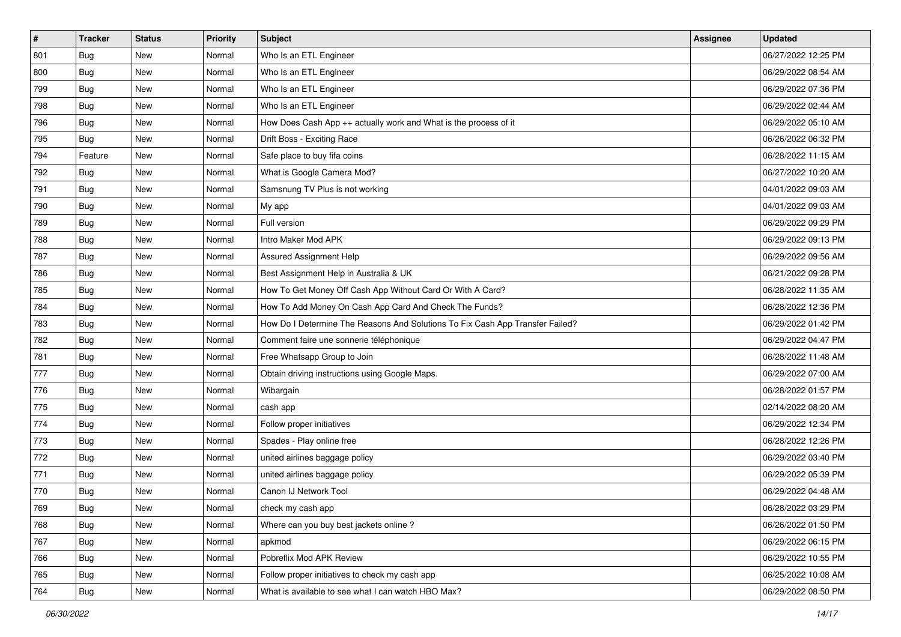| #   | <b>Tracker</b> | <b>Status</b> | <b>Priority</b> | <b>Subject</b>                                                                | <b>Assignee</b> | <b>Updated</b>      |
|-----|----------------|---------------|-----------------|-------------------------------------------------------------------------------|-----------------|---------------------|
| 801 | Bug            | New           | Normal          | Who Is an ETL Engineer                                                        |                 | 06/27/2022 12:25 PM |
| 800 | Bug            | New           | Normal          | Who Is an ETL Engineer                                                        |                 | 06/29/2022 08:54 AM |
| 799 | Bug            | New           | Normal          | Who Is an ETL Engineer                                                        |                 | 06/29/2022 07:36 PM |
| 798 | Bug            | <b>New</b>    | Normal          | Who Is an ETL Engineer                                                        |                 | 06/29/2022 02:44 AM |
| 796 | Bug            | <b>New</b>    | Normal          | How Does Cash App ++ actually work and What is the process of it              |                 | 06/29/2022 05:10 AM |
| 795 | Bug            | New           | Normal          | Drift Boss - Exciting Race                                                    |                 | 06/26/2022 06:32 PM |
| 794 | Feature        | <b>New</b>    | Normal          | Safe place to buy fifa coins                                                  |                 | 06/28/2022 11:15 AM |
| 792 | Bug            | <b>New</b>    | Normal          | What is Google Camera Mod?                                                    |                 | 06/27/2022 10:20 AM |
| 791 | Bug            | New           | Normal          | Samsnung TV Plus is not working                                               |                 | 04/01/2022 09:03 AM |
| 790 | Bug            | <b>New</b>    | Normal          | My app                                                                        |                 | 04/01/2022 09:03 AM |
| 789 | Bug            | New           | Normal          | Full version                                                                  |                 | 06/29/2022 09:29 PM |
| 788 | Bug            | <b>New</b>    | Normal          | Intro Maker Mod APK                                                           |                 | 06/29/2022 09:13 PM |
| 787 | Bug            | <b>New</b>    | Normal          | Assured Assignment Help                                                       |                 | 06/29/2022 09:56 AM |
| 786 | Bug            | <b>New</b>    | Normal          | Best Assignment Help in Australia & UK                                        |                 | 06/21/2022 09:28 PM |
| 785 | Bug            | <b>New</b>    | Normal          | How To Get Money Off Cash App Without Card Or With A Card?                    |                 | 06/28/2022 11:35 AM |
| 784 | Bug            | New           | Normal          | How To Add Money On Cash App Card And Check The Funds?                        |                 | 06/28/2022 12:36 PM |
| 783 | Bug            | <b>New</b>    | Normal          | How Do I Determine The Reasons And Solutions To Fix Cash App Transfer Failed? |                 | 06/29/2022 01:42 PM |
| 782 | Bug            | <b>New</b>    | Normal          | Comment faire une sonnerie téléphonique                                       |                 | 06/29/2022 04:47 PM |
| 781 | <b>Bug</b>     | New           | Normal          | Free Whatsapp Group to Join                                                   |                 | 06/28/2022 11:48 AM |
| 777 | Bug            | <b>New</b>    | Normal          | Obtain driving instructions using Google Maps.                                |                 | 06/29/2022 07:00 AM |
| 776 | Bug            | <b>New</b>    | Normal          | Wibargain                                                                     |                 | 06/28/2022 01:57 PM |
| 775 | <b>Bug</b>     | New           | Normal          | cash app                                                                      |                 | 02/14/2022 08:20 AM |
| 774 | Bug            | <b>New</b>    | Normal          | Follow proper initiatives                                                     |                 | 06/29/2022 12:34 PM |
| 773 | Bug            | New           | Normal          | Spades - Play online free                                                     |                 | 06/28/2022 12:26 PM |
| 772 | Bug            | <b>New</b>    | Normal          | united airlines baggage policy                                                |                 | 06/29/2022 03:40 PM |
| 771 | Bug            | <b>New</b>    | Normal          | united airlines baggage policy                                                |                 | 06/29/2022 05:39 PM |
| 770 | <b>Bug</b>     | New           | Normal          | Canon IJ Network Tool                                                         |                 | 06/29/2022 04:48 AM |
| 769 | <b>Bug</b>     | New           | Normal          | check my cash app                                                             |                 | 06/28/2022 03:29 PM |
| 768 | Bug            | New           | Normal          | Where can you buy best jackets online?                                        |                 | 06/26/2022 01:50 PM |
| 767 | Bug            | New           | Normal          | apkmod                                                                        |                 | 06/29/2022 06:15 PM |
| 766 | Bug            | New           | Normal          | Pobreflix Mod APK Review                                                      |                 | 06/29/2022 10:55 PM |
| 765 | Bug            | New           | Normal          | Follow proper initiatives to check my cash app                                |                 | 06/25/2022 10:08 AM |
| 764 | <b>Bug</b>     | New           | Normal          | What is available to see what I can watch HBO Max?                            |                 | 06/29/2022 08:50 PM |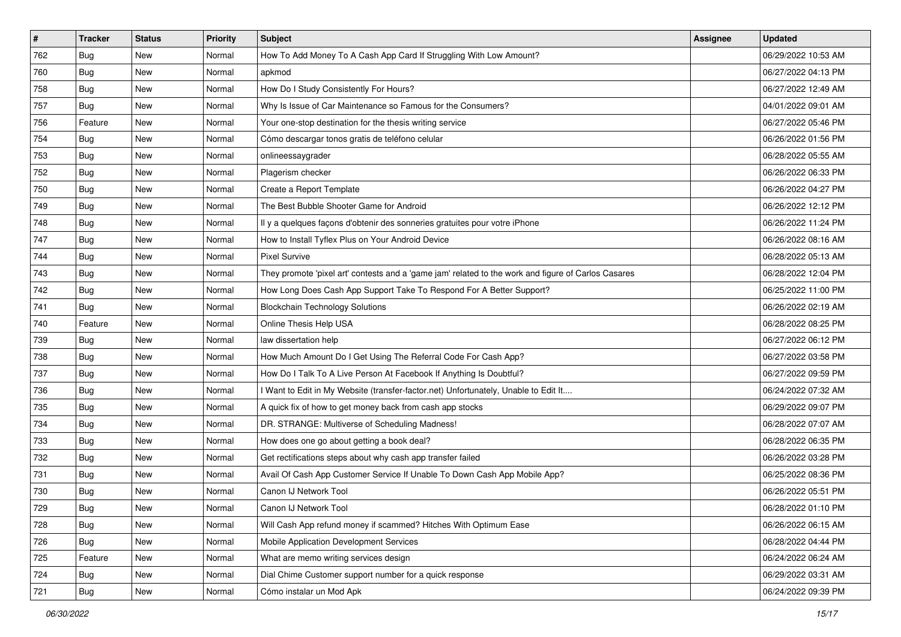| #   | <b>Tracker</b> | <b>Status</b> | <b>Priority</b> | <b>Subject</b>                                                                                      | <b>Assignee</b> | <b>Updated</b>      |
|-----|----------------|---------------|-----------------|-----------------------------------------------------------------------------------------------------|-----------------|---------------------|
| 762 | Bug            | New           | Normal          | How To Add Money To A Cash App Card If Struggling With Low Amount?                                  |                 | 06/29/2022 10:53 AM |
| 760 | Bug            | New           | Normal          | apkmod                                                                                              |                 | 06/27/2022 04:13 PM |
| 758 | Bug            | New           | Normal          | How Do I Study Consistently For Hours?                                                              |                 | 06/27/2022 12:49 AM |
| 757 | Bug            | <b>New</b>    | Normal          | Why Is Issue of Car Maintenance so Famous for the Consumers?                                        |                 | 04/01/2022 09:01 AM |
| 756 | Feature        | <b>New</b>    | Normal          | Your one-stop destination for the thesis writing service                                            |                 | 06/27/2022 05:46 PM |
| 754 | Bug            | New           | Normal          | Cómo descargar tonos gratis de teléfono celular                                                     |                 | 06/26/2022 01:56 PM |
| 753 | Bug            | New           | Normal          | onlineessaygrader                                                                                   |                 | 06/28/2022 05:55 AM |
| 752 | <b>Bug</b>     | New           | Normal          | Plagerism checker                                                                                   |                 | 06/26/2022 06:33 PM |
| 750 | Bug            | New           | Normal          | Create a Report Template                                                                            |                 | 06/26/2022 04:27 PM |
| 749 | Bug            | New           | Normal          | The Best Bubble Shooter Game for Android                                                            |                 | 06/26/2022 12:12 PM |
| 748 | Bug            | New           | Normal          | Il y a quelques façons d'obtenir des sonneries gratuites pour votre iPhone                          |                 | 06/26/2022 11:24 PM |
| 747 | Bug            | New           | Normal          | How to Install Tyflex Plus on Your Android Device                                                   |                 | 06/26/2022 08:16 AM |
| 744 | Bug            | New           | Normal          | <b>Pixel Survive</b>                                                                                |                 | 06/28/2022 05:13 AM |
| 743 | Bug            | New           | Normal          | They promote 'pixel art' contests and a 'game jam' related to the work and figure of Carlos Casares |                 | 06/28/2022 12:04 PM |
| 742 | Bug            | <b>New</b>    | Normal          | How Long Does Cash App Support Take To Respond For A Better Support?                                |                 | 06/25/2022 11:00 PM |
| 741 | Bug            | New           | Normal          | <b>Blockchain Technology Solutions</b>                                                              |                 | 06/26/2022 02:19 AM |
| 740 | Feature        | New           | Normal          | Online Thesis Help USA                                                                              |                 | 06/28/2022 08:25 PM |
| 739 | Bug            | New           | Normal          | law dissertation help                                                                               |                 | 06/27/2022 06:12 PM |
| 738 | Bug            | New           | Normal          | How Much Amount Do I Get Using The Referral Code For Cash App?                                      |                 | 06/27/2022 03:58 PM |
| 737 | Bug            | New           | Normal          | How Do I Talk To A Live Person At Facebook If Anything Is Doubtful?                                 |                 | 06/27/2022 09:59 PM |
| 736 | Bug            | New           | Normal          | I Want to Edit in My Website (transfer-factor.net) Unfortunately, Unable to Edit It                 |                 | 06/24/2022 07:32 AM |
| 735 | Bug            | New           | Normal          | A quick fix of how to get money back from cash app stocks                                           |                 | 06/29/2022 09:07 PM |
| 734 | Bug            | New           | Normal          | DR. STRANGE: Multiverse of Scheduling Madness!                                                      |                 | 06/28/2022 07:07 AM |
| 733 | Bug            | New           | Normal          | How does one go about getting a book deal?                                                          |                 | 06/28/2022 06:35 PM |
| 732 | Bug            | New           | Normal          | Get rectifications steps about why cash app transfer failed                                         |                 | 06/26/2022 03:28 PM |
| 731 | Bug            | New           | Normal          | Avail Of Cash App Customer Service If Unable To Down Cash App Mobile App?                           |                 | 06/25/2022 08:36 PM |
| 730 | <b>Bug</b>     | New           | Normal          | Canon IJ Network Tool                                                                               |                 | 06/26/2022 05:51 PM |
| 729 | <b>Bug</b>     | New           | Normal          | Canon IJ Network Tool                                                                               |                 | 06/28/2022 01:10 PM |
| 728 | <b>Bug</b>     | New           | Normal          | Will Cash App refund money if scammed? Hitches With Optimum Ease                                    |                 | 06/26/2022 06:15 AM |
| 726 | Bug            | New           | Normal          | Mobile Application Development Services                                                             |                 | 06/28/2022 04:44 PM |
| 725 | Feature        | New           | Normal          | What are memo writing services design                                                               |                 | 06/24/2022 06:24 AM |
| 724 | <b>Bug</b>     | New           | Normal          | Dial Chime Customer support number for a quick response                                             |                 | 06/29/2022 03:31 AM |
| 721 | Bug            | New           | Normal          | Cómo instalar un Mod Apk                                                                            |                 | 06/24/2022 09:39 PM |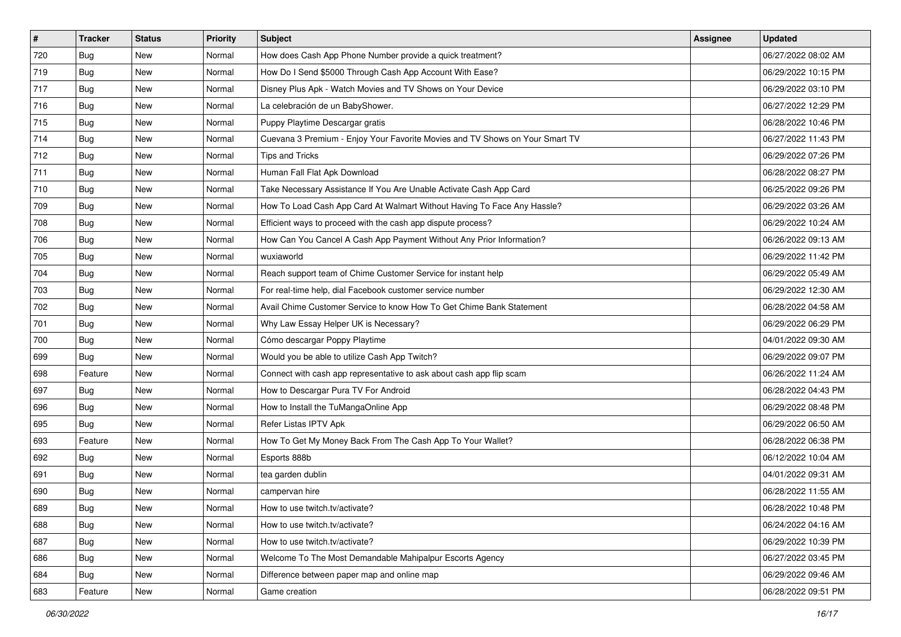| #   | <b>Tracker</b> | <b>Status</b> | <b>Priority</b> | <b>Subject</b>                                                               | Assignee | <b>Updated</b>      |
|-----|----------------|---------------|-----------------|------------------------------------------------------------------------------|----------|---------------------|
| 720 | Bug            | <b>New</b>    | Normal          | How does Cash App Phone Number provide a quick treatment?                    |          | 06/27/2022 08:02 AM |
| 719 | Bug            | <b>New</b>    | Normal          | How Do I Send \$5000 Through Cash App Account With Ease?                     |          | 06/29/2022 10:15 PM |
| 717 | Bug            | <b>New</b>    | Normal          | Disney Plus Apk - Watch Movies and TV Shows on Your Device                   |          | 06/29/2022 03:10 PM |
| 716 | Bug            | <b>New</b>    | Normal          | La celebración de un BabyShower.                                             |          | 06/27/2022 12:29 PM |
| 715 | <b>Bug</b>     | <b>New</b>    | Normal          | Puppy Playtime Descargar gratis                                              |          | 06/28/2022 10:46 PM |
| 714 | Bug            | New           | Normal          | Cuevana 3 Premium - Enjoy Your Favorite Movies and TV Shows on Your Smart TV |          | 06/27/2022 11:43 PM |
| 712 | Bug            | <b>New</b>    | Normal          | <b>Tips and Tricks</b>                                                       |          | 06/29/2022 07:26 PM |
| 711 | <b>Bug</b>     | <b>New</b>    | Normal          | Human Fall Flat Apk Download                                                 |          | 06/28/2022 08:27 PM |
| 710 | <b>Bug</b>     | <b>New</b>    | Normal          | Take Necessary Assistance If You Are Unable Activate Cash App Card           |          | 06/25/2022 09:26 PM |
| 709 | Bug            | <b>New</b>    | Normal          | How To Load Cash App Card At Walmart Without Having To Face Any Hassle?      |          | 06/29/2022 03:26 AM |
| 708 | Bug            | New           | Normal          | Efficient ways to proceed with the cash app dispute process?                 |          | 06/29/2022 10:24 AM |
| 706 | Bug            | <b>New</b>    | Normal          | How Can You Cancel A Cash App Payment Without Any Prior Information?         |          | 06/26/2022 09:13 AM |
| 705 | Bug            | New           | Normal          | wuxiaworld                                                                   |          | 06/29/2022 11:42 PM |
| 704 | <b>Bug</b>     | <b>New</b>    | Normal          | Reach support team of Chime Customer Service for instant help                |          | 06/29/2022 05:49 AM |
| 703 | <b>Bug</b>     | New           | Normal          | For real-time help, dial Facebook customer service number                    |          | 06/29/2022 12:30 AM |
| 702 | Bug            | <b>New</b>    | Normal          | Avail Chime Customer Service to know How To Get Chime Bank Statement         |          | 06/28/2022 04:58 AM |
| 701 | Bug            | <b>New</b>    | Normal          | Why Law Essay Helper UK is Necessary?                                        |          | 06/29/2022 06:29 PM |
| 700 | Bug            | <b>New</b>    | Normal          | Cómo descargar Poppy Playtime                                                |          | 04/01/2022 09:30 AM |
| 699 | <b>Bug</b>     | <b>New</b>    | Normal          | Would you be able to utilize Cash App Twitch?                                |          | 06/29/2022 09:07 PM |
| 698 | Feature        | <b>New</b>    | Normal          | Connect with cash app representative to ask about cash app flip scam         |          | 06/26/2022 11:24 AM |
| 697 | <b>Bug</b>     | <b>New</b>    | Normal          | How to Descargar Pura TV For Android                                         |          | 06/28/2022 04:43 PM |
| 696 | Bug            | <b>New</b>    | Normal          | How to Install the TuMangaOnline App                                         |          | 06/29/2022 08:48 PM |
| 695 | <b>Bug</b>     | <b>New</b>    | Normal          | Refer Listas IPTV Apk                                                        |          | 06/29/2022 06:50 AM |
| 693 | Feature        | New           | Normal          | How To Get My Money Back From The Cash App To Your Wallet?                   |          | 06/28/2022 06:38 PM |
| 692 | <b>Bug</b>     | New           | Normal          | Esports 888b                                                                 |          | 06/12/2022 10:04 AM |
| 691 | Bug            | <b>New</b>    | Normal          | tea garden dublin                                                            |          | 04/01/2022 09:31 AM |
| 690 | <b>Bug</b>     | <b>New</b>    | Normal          | campervan hire                                                               |          | 06/28/2022 11:55 AM |
| 689 | <b>Bug</b>     | New           | Normal          | How to use twitch.tv/activate?                                               |          | 06/28/2022 10:48 PM |
| 688 | Bug            | New           | Normal          | How to use twitch.tv/activate?                                               |          | 06/24/2022 04:16 AM |
| 687 | Bug            | New           | Normal          | How to use twitch.tv/activate?                                               |          | 06/29/2022 10:39 PM |
| 686 | Bug            | New           | Normal          | Welcome To The Most Demandable Mahipalpur Escorts Agency                     |          | 06/27/2022 03:45 PM |
| 684 | Bug            | New           | Normal          | Difference between paper map and online map                                  |          | 06/29/2022 09:46 AM |
| 683 | Feature        | New           | Normal          | Game creation                                                                |          | 06/28/2022 09:51 PM |